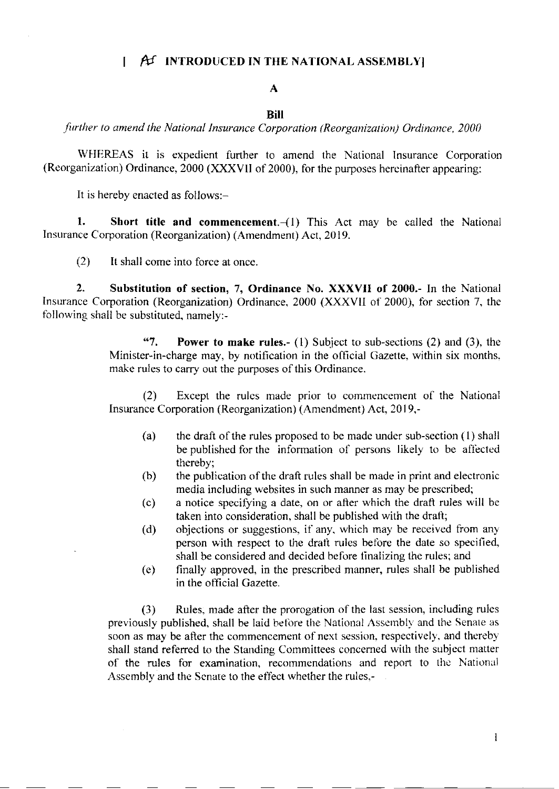## $\uparrow$   $f$  INTRODUCED IN THE NATIONAL ASSEMBLY

# A

#### BiII

further to amend the National Insurance Corporation (Reorganization) Ordinance, 2000

WHEREAS it is expedient further to amend the National Insurance Corporation (Reorganization) Ordinance, 2000 (XXXVII of 2000), for the purposes hereinafter appearing:

It is hereby enacted as follows:-

1. Short title and commencement. $-(1)$  This Act may be called the National Insurance Corporation (Reorganization) (Amendment) Act, 20 19.

(2) It shall come into force at once

2. Substitution of section, 7, Ordinance No. XXXVII of 2000,- In the National lnsurance Corporation (Reorganization) Ordinance, 2000 (XXXVII of 2000), for section 7, the following shall be substituted, namely:-

> "7. Power to make rules.-  $(1)$  Subject to sub-sections  $(2)$  and  $(3)$ , the Minister-in-charge may, by notification in the official Gazette, within six months, make rules to carry out the purposes of this Ordinance.

> (2) Except the rulcs made prior to commencement of the National Insurance Corporation (Reorganization) (Amendment) Act, 2019,-

- (a) the draft of the rules proposed to be made under sub-section  $(1)$  shall be published for the information of persons likely to be affected thereby;
- (b) the publication of the draft rules shall be made in print and electronic media including websites in such manner as may be prescribed;
- $(c)$  a notice specifying a date, on or after which the draft rules will be taken into consideration, shall be published with the drafl;
- (d) objections or suggestions, if any, which may be received from any person with respect to the draft rules before the date so specified, shall be considered and decided before linalizing the rules; and
- (e) finally approved, in thc prescribed manner, rules shall be published in the otficial Cazette.

(3) Rules, made after the prorogation of the last session, including rules previously published, shall be laid before the National Assembly and the Senate as soon as may be after the commencement of next session, respectively, and thereby shall stand referred to the Standing Committees concerned with the subject matter of the rules for examination, recommendations and report to the National Assembly and the Scnate to the effect whether the rules,-

 $\mathbf{1}$